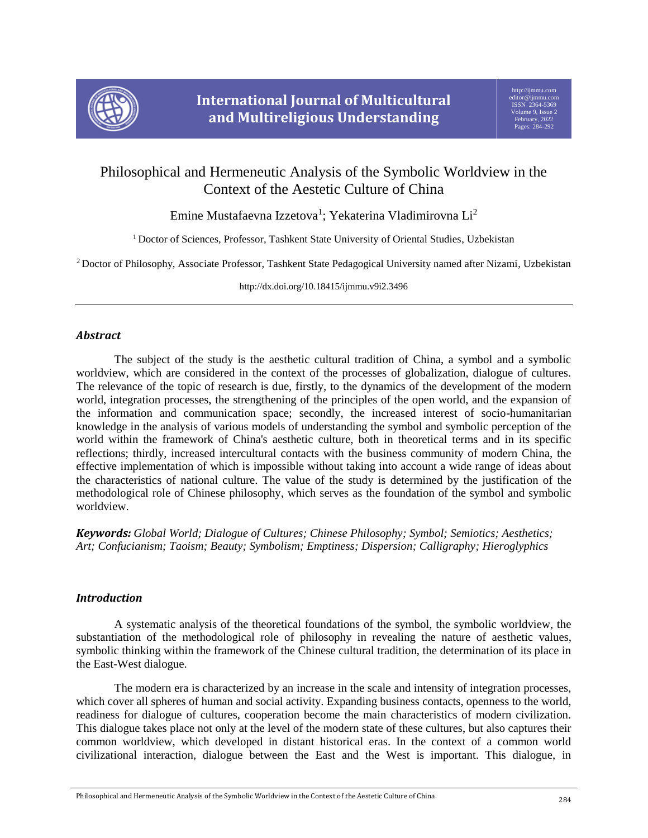

# Philosophical and Hermeneutic Analysis of the Symbolic Worldview in the Context of the Aestetic Culture of China

Emine Mustafaevna Izzetova<sup>1</sup>; Yekaterina Vladimirovna Li<sup>2</sup>

<sup>1</sup> Doctor of Sciences, Professor, Tashkent State University of Oriental Studies, Uzbekistan

<sup>2</sup> Doctor of Philosophy, Associate Professor, Tashkent State Pedagogical University named after Nizami, Uzbekistan

http://dx.doi.org/10.18415/ijmmu.v9i2.3496

## *Abstract*

The subject of the study is the aesthetic cultural tradition of China, a symbol and a symbolic worldview, which are considered in the context of the processes of globalization, dialogue of cultures. The relevance of the topic of research is due, firstly, to the dynamics of the development of the modern world, integration processes, the strengthening of the principles of the open world, and the expansion of the information and communication space; secondly, the increased interest of socio-humanitarian knowledge in the analysis of various models of understanding the symbol and symbolic perception of the world within the framework of China's aesthetic culture, both in theoretical terms and in its specific reflections; thirdly, increased intercultural contacts with the business community of modern China, the effective implementation of which is impossible without taking into account a wide range of ideas about the characteristics of national culture. The value of the study is determined by the justification of the methodological role of Chinese philosophy, which serves as the foundation of the symbol and symbolic worldview.

*Keywords: Global World; Dialogue of Cultures; Chinese Philosophy; Symbol; Semiotics; Aesthetics; Art; Confucianism; Taoism; Beauty; Symbolism; Emptiness; Dispersion; Calligraphy; Hieroglyphics*

### *Introduction*

A systematic analysis of the theoretical foundations of the symbol, the symbolic worldview, the substantiation of the methodological role of philosophy in revealing the nature of aesthetic values, symbolic thinking within the framework of the Chinese cultural tradition, the determination of its place in the East-West dialogue.

The modern era is characterized by an increase in the scale and intensity of integration processes, which cover all spheres of human and social activity. Expanding business contacts, openness to the world, readiness for dialogue of cultures, cooperation become the main characteristics of modern civilization. This dialogue takes place not only at the level of the modern state of these cultures, but also captures their common worldview, which developed in distant historical eras. In the context of a common world civilizational interaction, dialogue between the East and the West is important. This dialogue, in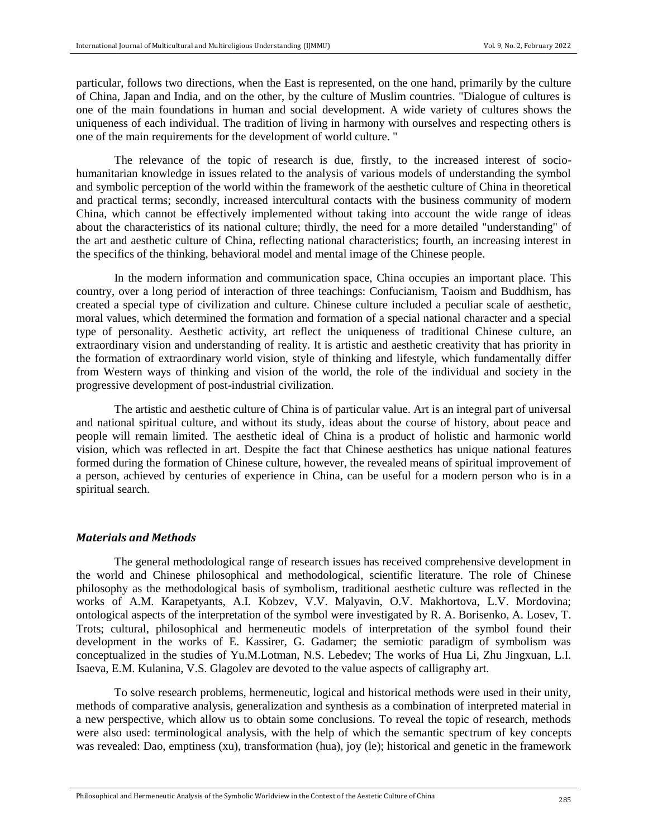particular, follows two directions, when the East is represented, on the one hand, primarily by the culture of China, Japan and India, and on the other, by the culture of Muslim countries. "Dialogue of cultures is one of the main foundations in human and social development. A wide variety of cultures shows the uniqueness of each individual. The tradition of living in harmony with ourselves and respecting others is one of the main requirements for the development of world culture. "

The relevance of the topic of research is due, firstly, to the increased interest of sociohumanitarian knowledge in issues related to the analysis of various models of understanding the symbol and symbolic perception of the world within the framework of the aesthetic culture of China in theoretical and practical terms; secondly, increased intercultural contacts with the business community of modern China, which cannot be effectively implemented without taking into account the wide range of ideas about the characteristics of its national culture; thirdly, the need for a more detailed "understanding" of the art and aesthetic culture of China, reflecting national characteristics; fourth, an increasing interest in the specifics of the thinking, behavioral model and mental image of the Chinese people.

In the modern information and communication space, China occupies an important place. This country, over a long period of interaction of three teachings: Confucianism, Taoism and Buddhism, has created a special type of civilization and culture. Chinese culture included a peculiar scale of aesthetic, moral values, which determined the formation and formation of a special national character and a special type of personality. Aesthetic activity, art reflect the uniqueness of traditional Chinese culture, an extraordinary vision and understanding of reality. It is artistic and aesthetic creativity that has priority in the formation of extraordinary world vision, style of thinking and lifestyle, which fundamentally differ from Western ways of thinking and vision of the world, the role of the individual and society in the progressive development of post-industrial civilization.

The artistic and aesthetic culture of China is of particular value. Art is an integral part of universal and national spiritual culture, and without its study, ideas about the course of history, about peace and people will remain limited. The aesthetic ideal of China is a product of holistic and harmonic world vision, which was reflected in art. Despite the fact that Chinese aesthetics has unique national features formed during the formation of Chinese culture, however, the revealed means of spiritual improvement of a person, achieved by centuries of experience in China, can be useful for a modern person who is in a spiritual search.

#### *Materials and Methods*

The general methodological range of research issues has received comprehensive development in the world and Chinese philosophical and methodological, scientific literature. The role of Chinese philosophy as the methodological basis of symbolism, traditional aesthetic culture was reflected in the works of A.M. Karapetyants, A.I. Kobzev, V.V. Malyavin, O.V. Makhortova, L.V. Mordovina; ontological aspects of the interpretation of the symbol were investigated by R. A. Borisenko, A. Losev, T. Trots; cultural, philosophical and hermeneutic models of interpretation of the symbol found their development in the works of E. Kassirer, G. Gadamer; the semiotic paradigm of symbolism was conceptualized in the studies of Yu.M.Lotman, N.S. Lebedev; The works of Hua Li, Zhu Jingxuan, L.I. Isaeva, E.M. Kulanina, V.S. Glagolev are devoted to the value aspects of calligraphy art.

To solve research problems, hermeneutic, logical and historical methods were used in their unity, methods of comparative analysis, generalization and synthesis as a combination of interpreted material in a new perspective, which allow us to obtain some conclusions. To reveal the topic of research, methods were also used: terminological analysis, with the help of which the semantic spectrum of key concepts was revealed: Dao, emptiness (xu), transformation (hua), joy (le); historical and genetic in the framework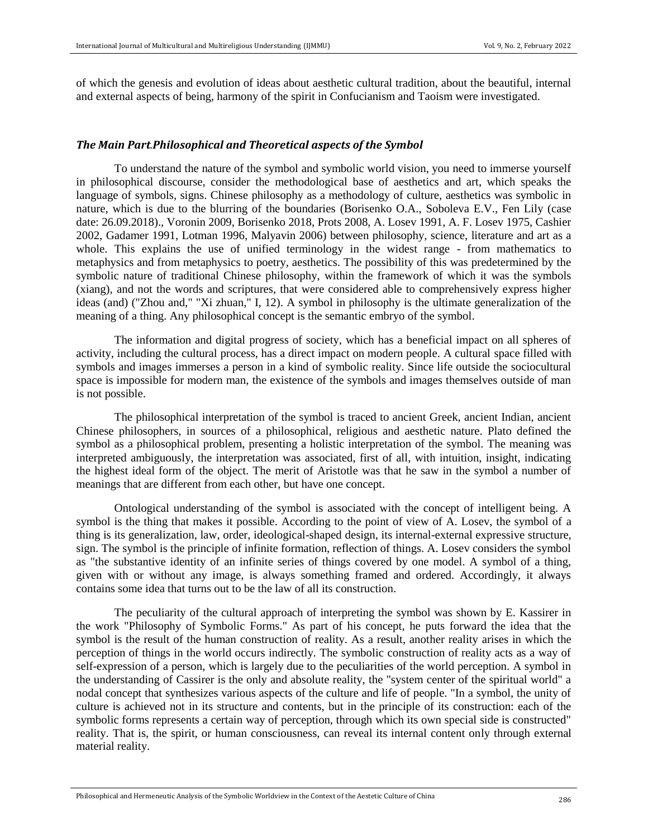of which the genesis and evolution of ideas about aesthetic cultural tradition, about the beautiful, internal and external aspects of being, harmony of the spirit in Confucianism and Taoism were investigated.

#### *The Main Part.Philosophical and Theoretical aspects of the Symbol*

To understand the nature of the symbol and symbolic world vision, you need to immerse yourself in philosophical discourse, consider the methodological base of aesthetics and art, which speaks the language of symbols, signs. Chinese philosophy as a methodology of culture, aesthetics was symbolic in nature, which is due to the blurring of the boundaries (Borisenko O.A., Soboleva E.V., Fen Lily (case date: 26.09.2018)., Voronin 2009, Borisenko 2018, Prots 2008, A. Losev 1991, A. F. Losev 1975, Cashier 2002, Gadamer 1991, Lotman 1996, Malyavin 2006) between philosophy, science, literature and art as a whole. This explains the use of unified terminology in the widest range - from mathematics to metaphysics and from metaphysics to poetry, aesthetics. The possibility of this was predetermined by the symbolic nature of traditional Chinese philosophy, within the framework of which it was the symbols (xiang), and not the words and scriptures, that were considered able to comprehensively express higher ideas (and) ("Zhou and," "Xi zhuan," I, 12). A symbol in philosophy is the ultimate generalization of the meaning of a thing. Any philosophical concept is the semantic embryo of the symbol.

The information and digital progress of society, which has a beneficial impact on all spheres of activity, including the cultural process, has a direct impact on modern people. A cultural space filled with symbols and images immerses a person in a kind of symbolic reality. Since life outside the sociocultural space is impossible for modern man, the existence of the symbols and images themselves outside of man is not possible.

The philosophical interpretation of the symbol is traced to ancient Greek, ancient Indian, ancient Chinese philosophers, in sources of a philosophical, religious and aesthetic nature. Plato defined the symbol as a philosophical problem, presenting a holistic interpretation of the symbol. The meaning was interpreted ambiguously, the interpretation was associated, first of all, with intuition, insight, indicating the highest ideal form of the object. The merit of Aristotle was that he saw in the symbol a number of meanings that are different from each other, but have one concept.

Ontological understanding of the symbol is associated with the concept of intelligent being. A symbol is the thing that makes it possible. According to the point of view of A. Losev, the symbol of a thing is its generalization, law, order, ideological-shaped design, its internal-external expressive structure, sign. The symbol is the principle of infinite formation, reflection of things. A. Losev considers the symbol as "the substantive identity of an infinite series of things covered by one model. A symbol of a thing, given with or without any image, is always something framed and ordered. Accordingly, it always contains some idea that turns out to be the law of all its construction.

The peculiarity of the cultural approach of interpreting the symbol was shown by E. Kassirer in the work "Philosophy of Symbolic Forms." As part of his concept, he puts forward the idea that the symbol is the result of the human construction of reality. As a result, another reality arises in which the perception of things in the world occurs indirectly. The symbolic construction of reality acts as a way of self-expression of a person, which is largely due to the peculiarities of the world perception. A symbol in the understanding of Cassirer is the only and absolute reality, the "system center of the spiritual world" a nodal concept that synthesizes various aspects of the culture and life of people. "In a symbol, the unity of culture is achieved not in its structure and contents, but in the principle of its construction: each of the symbolic forms represents a certain way of perception, through which its own special side is constructed" reality. That is, the spirit, or human consciousness, can reveal its internal content only through external material reality.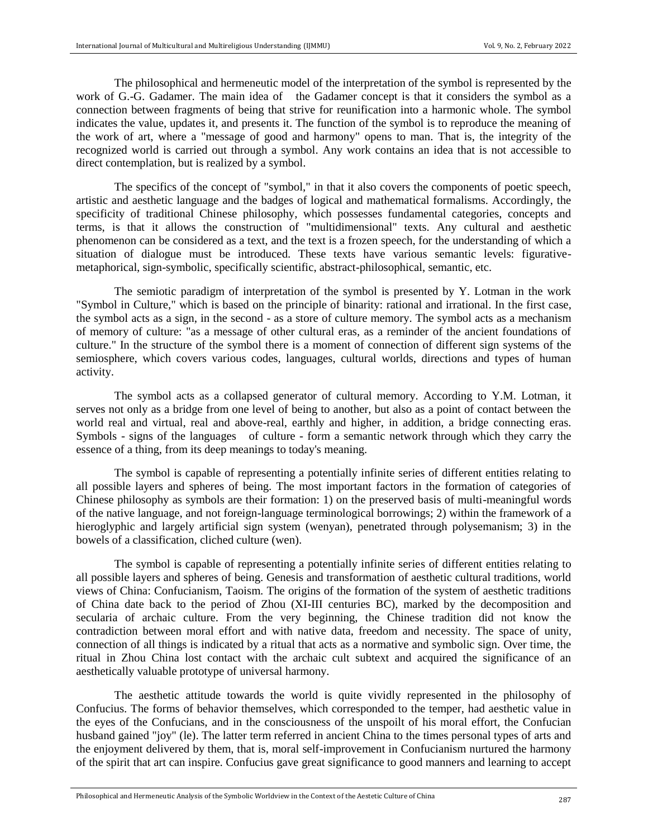The philosophical and hermeneutic model of the interpretation of the symbol is represented by the work of G.-G. Gadamer. The main idea of the Gadamer concept is that it considers the symbol as a connection between fragments of being that strive for reunification into a harmonic whole. The symbol indicates the value, updates it, and presents it. The function of the symbol is to reproduce the meaning of the work of art, where a "message of good and harmony" opens to man. That is, the integrity of the recognized world is carried out through a symbol. Any work contains an idea that is not accessible to direct contemplation, but is realized by a symbol.

The specifics of the concept of "symbol," in that it also covers the components of poetic speech, artistic and aesthetic language and the badges of logical and mathematical formalisms. Accordingly, the specificity of traditional Chinese philosophy, which possesses fundamental categories, concepts and terms, is that it allows the construction of "multidimensional" texts. Any cultural and aesthetic phenomenon can be considered as a text, and the text is a frozen speech, for the understanding of which a situation of dialogue must be introduced. These texts have various semantic levels: figurativemetaphorical, sign-symbolic, specifically scientific, abstract-philosophical, semantic, etc.

The semiotic paradigm of interpretation of the symbol is presented by Y. Lotman in the work "Symbol in Culture," which is based on the principle of binarity: rational and irrational. In the first case, the symbol acts as a sign, in the second - as a store of culture memory. The symbol acts as a mechanism of memory of culture: "as a message of other cultural eras, as a reminder of the ancient foundations of culture." In the structure of the symbol there is a moment of connection of different sign systems of the semiosphere, which covers various codes, languages, cultural worlds, directions and types of human activity.

The symbol acts as a collapsed generator of cultural memory. According to Y.M. Lotman, it serves not only as a bridge from one level of being to another, but also as a point of contact between the world real and virtual, real and above-real, earthly and higher, in addition, a bridge connecting eras. Symbols - signs of the languages of culture - form a semantic network through which they carry the essence of a thing, from its deep meanings to today's meaning.

The symbol is capable of representing a potentially infinite series of different entities relating to all possible layers and spheres of being. The most important factors in the formation of categories of Chinese philosophy as symbols are their formation: 1) on the preserved basis of multi-meaningful words of the native language, and not foreign-language terminological borrowings; 2) within the framework of a hieroglyphic and largely artificial sign system (wenyan), penetrated through polysemanism; 3) in the bowels of a classification, cliched culture (wen).

The symbol is capable of representing a potentially infinite series of different entities relating to all possible layers and spheres of being. Genesis and transformation of aesthetic cultural traditions, world views of China: Confucianism, Taoism. The origins of the formation of the system of aesthetic traditions of China date back to the period of Zhou (XI-III centuries BC), marked by the decomposition and secularia of archaic culture. From the very beginning, the Chinese tradition did not know the contradiction between moral effort and with native data, freedom and necessity. The space of unity, connection of all things is indicated by a ritual that acts as a normative and symbolic sign. Over time, the ritual in Zhou China lost contact with the archaic cult subtext and acquired the significance of an aesthetically valuable prototype of universal harmony.

The aesthetic attitude towards the world is quite vividly represented in the philosophy of Confucius. The forms of behavior themselves, which corresponded to the temper, had aesthetic value in the eyes of the Confucians, and in the consciousness of the unspoilt of his moral effort, the Confucian husband gained "joy" (le). The latter term referred in ancient China to the times personal types of arts and the enjoyment delivered by them, that is, moral self-improvement in Confucianism nurtured the harmony of the spirit that art can inspire. Confucius gave great significance to good manners and learning to accept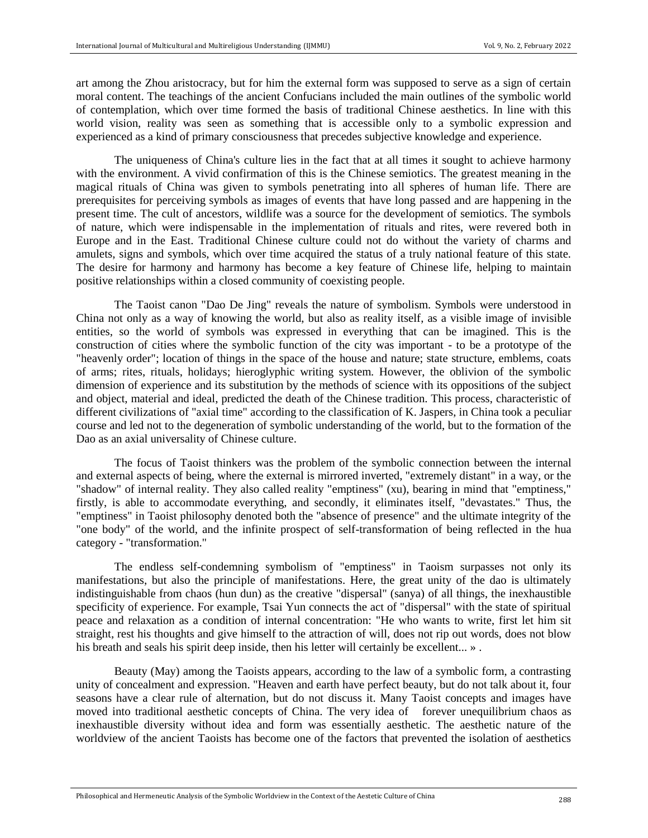art among the Zhou aristocracy, but for him the external form was supposed to serve as a sign of certain moral content. The teachings of the ancient Confucians included the main outlines of the symbolic world of contemplation, which over time formed the basis of traditional Chinese aesthetics. In line with this world vision, reality was seen as something that is accessible only to a symbolic expression and experienced as a kind of primary consciousness that precedes subjective knowledge and experience.

The uniqueness of China's culture lies in the fact that at all times it sought to achieve harmony with the environment. A vivid confirmation of this is the Chinese semiotics. The greatest meaning in the magical rituals of China was given to symbols penetrating into all spheres of human life. There are prerequisites for perceiving symbols as images of events that have long passed and are happening in the present time. The cult of ancestors, wildlife was a source for the development of semiotics. The symbols of nature, which were indispensable in the implementation of rituals and rites, were revered both in Europe and in the East. Traditional Chinese culture could not do without the variety of charms and amulets, signs and symbols, which over time acquired the status of a truly national feature of this state. The desire for harmony and harmony has become a key feature of Chinese life, helping to maintain positive relationships within a closed community of coexisting people.

The Taoist canon "Dao De Jing" reveals the nature of symbolism. Symbols were understood in China not only as a way of knowing the world, but also as reality itself, as a visible image of invisible entities, so the world of symbols was expressed in everything that can be imagined. This is the construction of cities where the symbolic function of the city was important - to be a prototype of the "heavenly order"; location of things in the space of the house and nature; state structure, emblems, coats of arms; rites, rituals, holidays; hieroglyphic writing system. However, the oblivion of the symbolic dimension of experience and its substitution by the methods of science with its oppositions of the subject and object, material and ideal, predicted the death of the Chinese tradition. This process, characteristic of different civilizations of "axial time" according to the classification of K. Jaspers, in China took a peculiar course and led not to the degeneration of symbolic understanding of the world, but to the formation of the Dao as an axial universality of Chinese culture.

The focus of Taoist thinkers was the problem of the symbolic connection between the internal and external aspects of being, where the external is mirrored inverted, "extremely distant" in a way, or the "shadow" of internal reality. They also called reality "emptiness" (xu), bearing in mind that "emptiness," firstly, is able to accommodate everything, and secondly, it eliminates itself, "devastates." Thus, the "emptiness" in Taoist philosophy denoted both the "absence of presence" and the ultimate integrity of the "one body" of the world, and the infinite prospect of self-transformation of being reflected in the hua category - "transformation."

The endless self-condemning symbolism of "emptiness" in Taoism surpasses not only its manifestations, but also the principle of manifestations. Here, the great unity of the dao is ultimately indistinguishable from chaos (hun dun) as the creative "dispersal" (sanya) of all things, the inexhaustible specificity of experience. For example, Tsai Yun connects the act of "dispersal" with the state of spiritual peace and relaxation as a condition of internal concentration: "He who wants to write, first let him sit straight, rest his thoughts and give himself to the attraction of will, does not rip out words, does not blow his breath and seals his spirit deep inside, then his letter will certainly be excellent... ».

Beauty (May) among the Taoists appears, according to the law of a symbolic form, a contrasting unity of concealment and expression. "Heaven and earth have perfect beauty, but do not talk about it, four seasons have a clear rule of alternation, but do not discuss it. Many Taoist concepts and images have moved into traditional aesthetic concepts of China. The very idea of forever unequilibrium chaos as inexhaustible diversity without idea and form was essentially aesthetic. The aesthetic nature of the worldview of the ancient Taoists has become one of the factors that prevented the isolation of aesthetics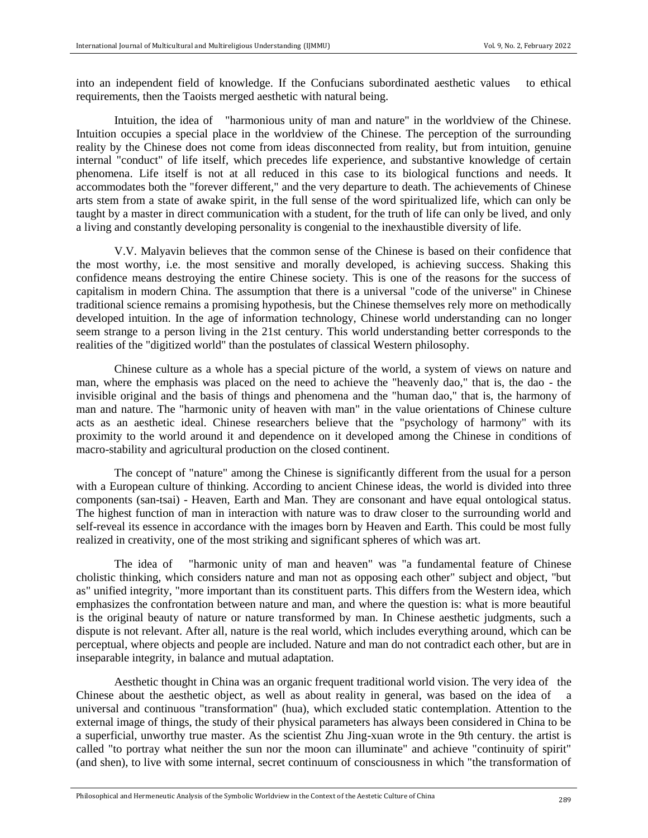into an independent field of knowledge. If the Confucians subordinated aesthetic values to ethical requirements, then the Taoists merged aesthetic with natural being.

Intuition, the idea of "harmonious unity of man and nature" in the worldview of the Chinese. Intuition occupies a special place in the worldview of the Chinese. The perception of the surrounding reality by the Chinese does not come from ideas disconnected from reality, but from intuition, genuine internal "conduct" of life itself, which precedes life experience, and substantive knowledge of certain phenomena. Life itself is not at all reduced in this case to its biological functions and needs. It accommodates both the "forever different," and the very departure to death. The achievements of Chinese arts stem from a state of awake spirit, in the full sense of the word spiritualized life, which can only be taught by a master in direct communication with a student, for the truth of life can only be lived, and only a living and constantly developing personality is congenial to the inexhaustible diversity of life.

V.V. Malyavin believes that the common sense of the Chinese is based on their confidence that the most worthy, i.e. the most sensitive and morally developed, is achieving success. Shaking this confidence means destroying the entire Chinese society. This is one of the reasons for the success of capitalism in modern China. The assumption that there is a universal "code of the universe" in Chinese traditional science remains a promising hypothesis, but the Chinese themselves rely more on methodically developed intuition. In the age of information technology, Chinese world understanding can no longer seem strange to a person living in the 21st century. This world understanding better corresponds to the realities of the "digitized world" than the postulates of classical Western philosophy.

Chinese culture as a whole has a special picture of the world, a system of views on nature and man, where the emphasis was placed on the need to achieve the "heavenly dao," that is, the dao - the invisible original and the basis of things and phenomena and the "human dao," that is, the harmony of man and nature. The "harmonic unity of heaven with man" in the value orientations of Chinese culture acts as an aesthetic ideal. Chinese researchers believe that the "psychology of harmony" with its proximity to the world around it and dependence on it developed among the Chinese in conditions of macro-stability and agricultural production on the closed continent.

The concept of "nature" among the Chinese is significantly different from the usual for a person with a European culture of thinking. According to ancient Chinese ideas, the world is divided into three components (san-tsai) - Heaven, Earth and Man. They are consonant and have equal ontological status. The highest function of man in interaction with nature was to draw closer to the surrounding world and self-reveal its essence in accordance with the images born by Heaven and Earth. This could be most fully realized in creativity, one of the most striking and significant spheres of which was art.

The idea of "harmonic unity of man and heaven" was "a fundamental feature of Chinese cholistic thinking, which considers nature and man not as opposing each other" subject and object, "but as" unified integrity, "more important than its constituent parts. This differs from the Western idea, which emphasizes the confrontation between nature and man, and where the question is: what is more beautiful is the original beauty of nature or nature transformed by man. In Chinese aesthetic judgments, such a dispute is not relevant. After all, nature is the real world, which includes everything around, which can be perceptual, where objects and people are included. Nature and man do not contradict each other, but are in inseparable integrity, in balance and mutual adaptation.

Aesthetic thought in China was an organic frequent traditional world vision. The very idea of the Chinese about the aesthetic object, as well as about reality in general, was based on the idea of a universal and continuous "transformation" (hua), which excluded static contemplation. Attention to the external image of things, the study of their physical parameters has always been considered in China to be a superficial, unworthy true master. As the scientist Zhu Jing-xuan wrote in the 9th century. the artist is called "to portray what neither the sun nor the moon can illuminate" and achieve "continuity of spirit" (and shen), to live with some internal, secret continuum of consciousness in which "the transformation of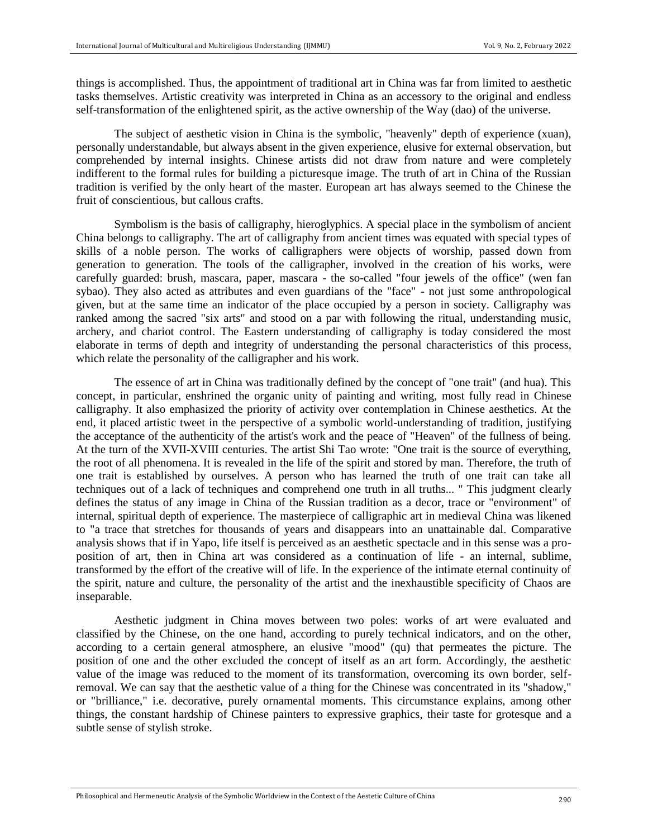things is accomplished. Thus, the appointment of traditional art in China was far from limited to aesthetic tasks themselves. Artistic creativity was interpreted in China as an accessory to the original and endless self-transformation of the enlightened spirit, as the active ownership of the Way (dao) of the universe.

The subject of aesthetic vision in China is the symbolic, "heavenly" depth of experience (xuan), personally understandable, but always absent in the given experience, elusive for external observation, but comprehended by internal insights. Chinese artists did not draw from nature and were completely indifferent to the formal rules for building a picturesque image. The truth of art in China of the Russian tradition is verified by the only heart of the master. European art has always seemed to the Chinese the fruit of conscientious, but callous crafts.

Symbolism is the basis of calligraphy, hieroglyphics. A special place in the symbolism of ancient China belongs to calligraphy. The art of calligraphy from ancient times was equated with special types of skills of a noble person. The works of calligraphers were objects of worship, passed down from generation to generation. The tools of the calligrapher, involved in the creation of his works, were carefully guarded: brush, mascara, paper, mascara - the so-called "four jewels of the office" (wen fan sybao). They also acted as attributes and even guardians of the "face" - not just some anthropological given, but at the same time an indicator of the place occupied by a person in society. Calligraphy was ranked among the sacred "six arts" and stood on a par with following the ritual, understanding music, archery, and chariot control. The Eastern understanding of calligraphy is today considered the most elaborate in terms of depth and integrity of understanding the personal characteristics of this process, which relate the personality of the calligrapher and his work.

The essence of art in China was traditionally defined by the concept of "one trait" (and hua). This concept, in particular, enshrined the organic unity of painting and writing, most fully read in Chinese calligraphy. It also emphasized the priority of activity over contemplation in Chinese aesthetics. At the end, it placed artistic tweet in the perspective of a symbolic world-understanding of tradition, justifying the acceptance of the authenticity of the artist's work and the peace of "Heaven" of the fullness of being. At the turn of the XVII-XVIII centuries. The artist Shi Tao wrote: "One trait is the source of everything, the root of all phenomena. It is revealed in the life of the spirit and stored by man. Therefore, the truth of one trait is established by ourselves. A person who has learned the truth of one trait can take all techniques out of a lack of techniques and comprehend one truth in all truths... " This judgment clearly defines the status of any image in China of the Russian tradition as a decor, trace or "environment" of internal, spiritual depth of experience. The masterpiece of calligraphic art in medieval China was likened to "a trace that stretches for thousands of years and disappears into an unattainable dal. Comparative analysis shows that if in Yapo, life itself is perceived as an aesthetic spectacle and in this sense was a proposition of art, then in China art was considered as a continuation of life - an internal, sublime, transformed by the effort of the creative will of life. In the experience of the intimate eternal continuity of the spirit, nature and culture, the personality of the artist and the inexhaustible specificity of Chaos are inseparable.

Aesthetic judgment in China moves between two poles: works of art were evaluated and classified by the Chinese, on the one hand, according to purely technical indicators, and on the other, according to a certain general atmosphere, an elusive "mood" (qu) that permeates the picture. The position of one and the other excluded the concept of itself as an art form. Accordingly, the aesthetic value of the image was reduced to the moment of its transformation, overcoming its own border, selfremoval. We can say that the aesthetic value of a thing for the Chinese was concentrated in its "shadow," or "brilliance," i.e. decorative, purely ornamental moments. This circumstance explains, among other things, the constant hardship of Chinese painters to expressive graphics, their taste for grotesque and a subtle sense of stylish stroke.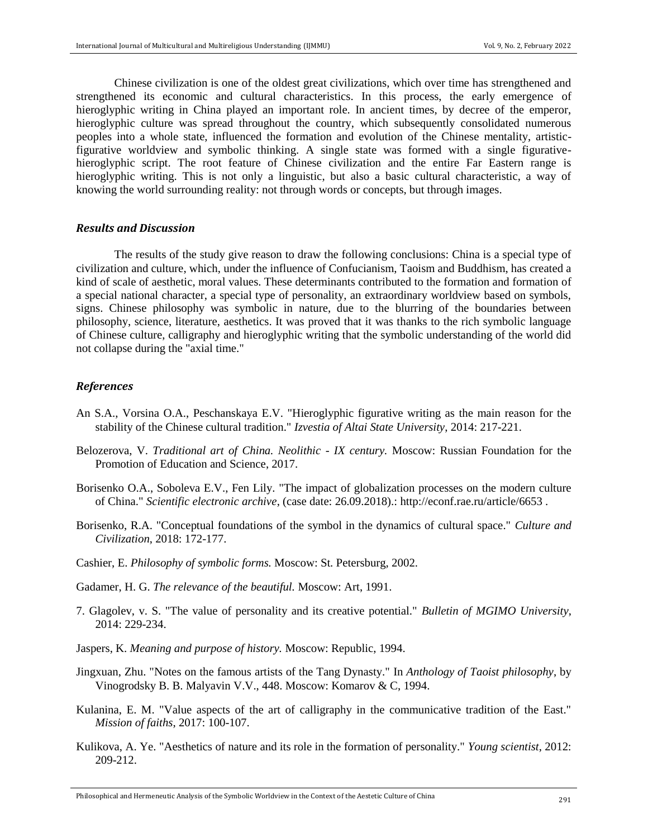Chinese civilization is one of the oldest great civilizations, which over time has strengthened and strengthened its economic and cultural characteristics. In this process, the early emergence of hieroglyphic writing in China played an important role. In ancient times, by decree of the emperor, hieroglyphic culture was spread throughout the country, which subsequently consolidated numerous peoples into a whole state, influenced the formation and evolution of the Chinese mentality, artisticfigurative worldview and symbolic thinking. A single state was formed with a single figurativehieroglyphic script. The root feature of Chinese civilization and the entire Far Eastern range is hieroglyphic writing. This is not only a linguistic, but also a basic cultural characteristic, a way of knowing the world surrounding reality: not through words or concepts, but through images.

#### *Results and Discussion*

The results of the study give reason to draw the following conclusions: China is a special type of civilization and culture, which, under the influence of Confucianism, Taoism and Buddhism, has created a kind of scale of aesthetic, moral values. These determinants contributed to the formation and formation of a special national character, a special type of personality, an extraordinary worldview based on symbols, signs. Chinese philosophy was symbolic in nature, due to the blurring of the boundaries between philosophy, science, literature, aesthetics. It was proved that it was thanks to the rich symbolic language of Chinese culture, calligraphy and hieroglyphic writing that the symbolic understanding of the world did not collapse during the "axial time."

#### *References*

- An S.A., Vorsina O.A., Peschanskaya E.V. "Hieroglyphic figurative writing as the main reason for the stability of the Chinese cultural tradition." *Izvestia of Altai State University*, 2014: 217-221.
- Belozerova, V. *Traditional art of China. Neolithic - IX century.* Moscow: Russian Foundation for the Promotion of Education and Science, 2017.
- Borisenko O.A., Soboleva E.V., Fen Lily. "The impact of globalization processes on the modern culture of China." *Scientific electronic archive*, (case date: 26.09.2018).: http://econf.rae.ru/article/6653 .
- Borisenko, R.A. "Conceptual foundations of the symbol in the dynamics of cultural space." *Culture and Civilization*, 2018: 172-177.
- Cashier, E. *Philosophy of symbolic forms.* Moscow: St. Petersburg, 2002.
- Gadamer, H. G. *The relevance of the beautiful.* Moscow: Art, 1991.
- 7. Glagolev, v. S. "The value of personality and its creative potential." *Bulletin of MGIMO University*, 2014: 229-234.
- Jaspers, K. *Meaning and purpose of history.* Moscow: Republic, 1994.
- Jingxuan, Zhu. "Notes on the famous artists of the Tang Dynasty." In *Anthology of Taoist philosophy*, by Vinogrodsky B. B. Malyavin V.V., 448. Moscow: Komarov & C, 1994.
- Kulanina, E. M. "Value aspects of the art of calligraphy in the communicative tradition of the East." *Mission of faiths*, 2017: 100-107.
- Kulikova, A. Ye. "Aesthetics of nature and its role in the formation of personality." *Young scientist*, 2012: 209-212.

Philosophical and Hermeneutic Analysis of the Symbolic Worldview in the Context of the Aestetic Culture of China <sup>291</sup>